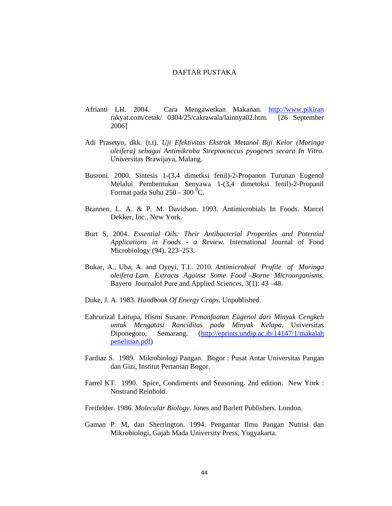## DAFTAR PUSTAKA

- Afrianti LH. 2004. Cara Mengawetkan Makanan. http://www.pikiran rakyat.com/cetak/ 0304/25/cakrawala/lainnya02.htm. [26 September 2006]
- Adi Prasetyo, dkk. (t.t). *Uji Efektivitas Ekstrak Metanol Biji Kelor (Moringa oleifera) sebagai Antimikroba Streptococcus pyogenes secara In Vitro*. Universitas Brawijaya, Malang.
- Busroni. 2000. Sintesis 1-(3,4 dimetksi fenil)-2-Propanon Turunan Eugenol Melalui Pembentukan Senyawa 1-(3,4 dimetoksi fenil)-2-Propanil Format pada Suhu 250 – 300  $^{\text{6}}\textrm{C}$ .
- Brannen, L. A. & P. M. Davidson. 1993. Antimicrobials In Foods. Marcel Dekker, Inc., New York.
- Burt S, 2004. *Essential Oils: Their Antibacterial Properties and Potential Applications in Foods - a Review.* International Journal of Food Microbiology (94), 223–253.
- Bukar, A., Uba, A. and Oyeyi, T.I.. 2010. *Antimicrobial Profile of Moringa oleifera Lam. Extracts Against Some Food –Borne Microorganisms*. Bayero Journalof Pure and Applied Sciences, 3(1): 43 –48.
- Duke, J. A. 1983. *Handbook Of Energy Crops*. Unpublished.
- Eahrurizal Laitupa, Hismi Susane. *Pemanfaatan Eugenol dari Minyak Cengkeh untuk Mengatasi Ranciditas pada Minyak Kelapa*. Universitas Diponegoro, Semarang. (http://eprints.undip.ac.ib/14147/1/makalah penelitian.pdf)
- Fardiaz S. 1989. Mikrobiologi Pangan. Bogor : Pusat Antar Universitas Pangan dan Gizi, Institut Pertanian Bogor.
- Farrel KT. 1990. Spice, Condiments and Seasoning. 2nd edition. New York : Nostrand Reinhold.
- Freifelder. 1986. *Molecular Biology*. Jones and Barlett Publishers. London.
- Gaman P. M, dan Sherrington. 1994. Pengantar Ilmu Pangan Nutrisi dan Mikrobiologi, Gajah Mada University Press, Yogyakarta.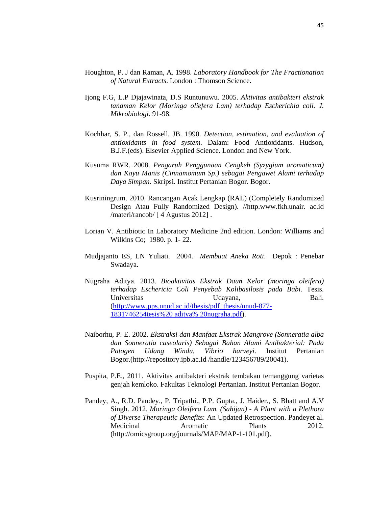- Houghton, P. J dan Raman, A. 1998. *Laboratory Handbook for The Fractionation of Natural Extracts*. London : Thomson Science.
- Ijong F.G, L.P Djajawinata, D.S Runtunuwu. 2005. *Aktivitas antibakteri ekstrak tanaman Kelor (Moringa oliefera Lam) terhadap Escherichia coli. J. Mikrobiologi*. 91-98.
- Kochhar, S. P., dan Rossell, JB. 1990. *Detection, estimation, and evaluation of antioxidants in food system.* Dalam: Food Antioxidants. Hudson, B.J.F.(eds). Elsevier Applied Science. London and New York.
- Kusuma RWR. 2008. *Pengaruh Penggunaan Cengkeh (Syzygium aromaticum) dan Kayu Manis (Cinnamomum Sp.) sebagai Pengawet Alami terhadap Daya Simpan.* Skripsi. Institut Pertanian Bogor. Bogor.
- Kusriningrum. 2010. Rancangan Acak Lengkap (RAL) (Completely Randomized Design Atau Fully Randomized Design). //http.www.fkh.unair. ac.id /materi/rancob/ [ 4 Agustus 2012] .
- Lorian V. Antibiotic In Laboratory Medicine 2nd edition. London: Williams and Wilkins Co; 1980. p. 1- 22.
- Mudjajanto ES, LN Yuliati. 2004. *Membuat Aneka Roti*. Depok : Penebar Swadaya.
- Nugraha Aditya. 2013. *Bioaktivitas Ekstrak Daun Kelor (moringa oleifera) terhadap Eschericia Coli Penyebab Kolibasilosis pada Babi.* Tesis. Universitas Udayana, Bali. (http://www.pps.unud.ac.id/thesis/pdf\_thesis/unud-877- 1831746254tesis%20 aditya% 20nugraha.pdf).
- Naiborhu, P. E. 2002. *Ekstraksi dan Manfaat Ekstrak Mangrove (Sonneratia alba dan Sonneratia caseolaris) Sebagai Bahan Alami Antibakterial: Pada Patogen Udang Windu, Vibrio harveyi*. Institut Pertanian Bogor.(http://repository.ipb.ac.Id /handle/123456789/20041).
- Puspita, P.E., 2011. Aktivitas antibakteri ekstrak tembakau temanggung varietas genjah kemloko. Fakultas Teknologi Pertanian. Institut Pertanian Bogor.
- Pandey, A., R.D. Pandey., P. Tripathi., P.P. Gupta., J. Haider., S. Bhatt and A.V Singh. 2012. *Moringa Oleifera Lam. (Sahijan) - A Plant with a Plethora of Diverse Therapeutic Benefit*s: An Updated Retrospection. Pandeyet al. Medicinal Aromatic Plants 2012. (http://omicsgroup.org/journals/MAP/MAP-1-101.pdf).